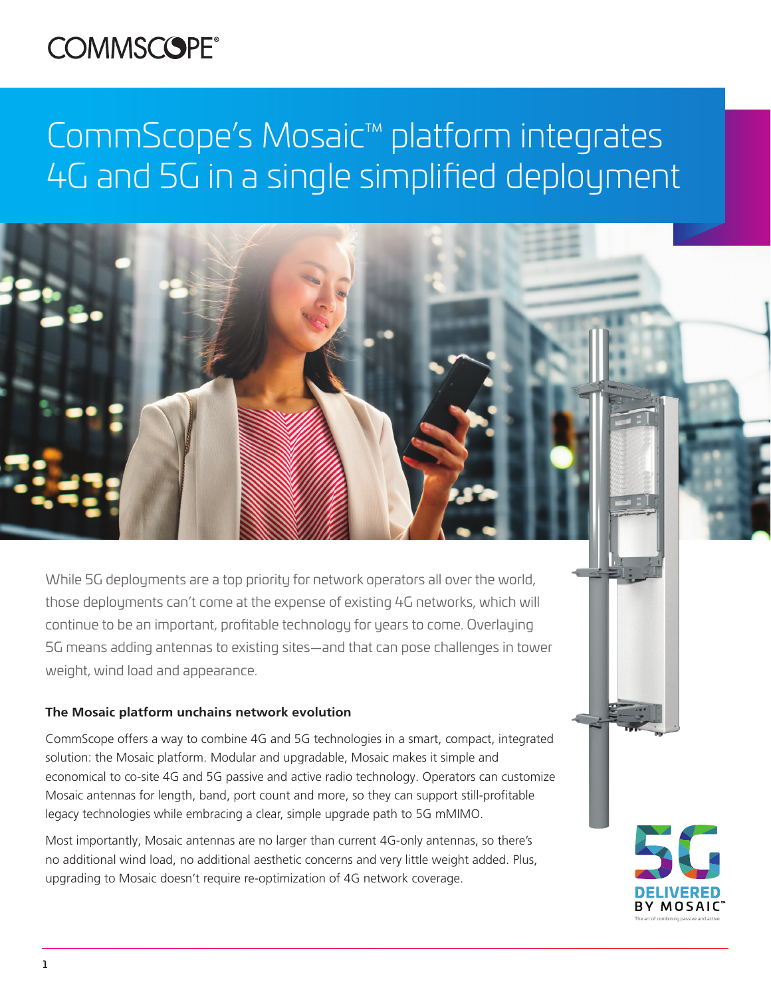## **COMMSCOPE®**

# CommScope's Mosaic™ platform integrates 4G and 5G in a single simplified deployment

While 5G deployments are a top priority for network operators all over the world, those deployments can't come at the expense of existing 4G networks, which will continue to be an important, profitable technology for years to come. Overlaying 5G means adding antennas to existing sites—and that can pose challenges in tower weight, wind load and appearance.

### **The Mosaic platform unchains network evolution**

CommScope offers a way to combine 4G and 5G technologies in a smart, compact, integrated solution: the Mosaic platform. Modular and upgradable, Mosaic makes it simple and economical to co-site 4G and 5G passive and active radio technology. Operators can customize Mosaic antennas for length, band, port count and more, so they can support still-profitable legacy technologies while embracing a clear, simple upgrade path to 5G mMIMO.

Most importantly, Mosaic antennas are no larger than current 4G-only antennas, so there's no additional wind load, no additional aesthetic concerns and very little weight added. Plus, upgrading to Mosaic doesn't require re-optimization of 4G network coverage.

The art of combining passive and active

1